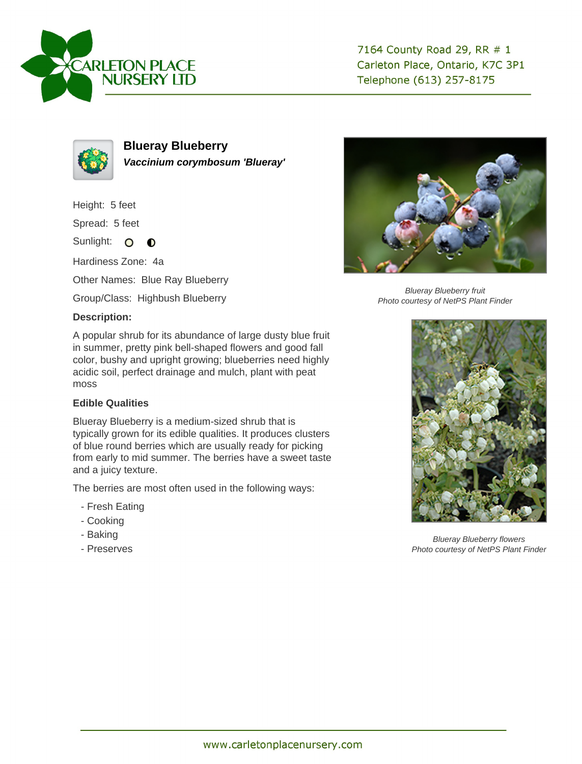



**Blueray Blueberry Vaccinium corymbosum 'Blueray'**

Height: 5 feet

Spread: 5 feet

Sunlight: O **O** 

Hardiness Zone: 4a

Other Names: Blue Ray Blueberry

Group/Class: Highbush Blueberry

## **Description:**

A popular shrub for its abundance of large dusty blue fruit in summer, pretty pink bell-shaped flowers and good fall color, bushy and upright growing; blueberries need highly acidic soil, perfect drainage and mulch, plant with peat moss

## **Edible Qualities**

Blueray Blueberry is a medium-sized shrub that is typically grown for its edible qualities. It produces clusters of blue round berries which are usually ready for picking from early to mid summer. The berries have a sweet taste and a juicy texture.

The berries are most often used in the following ways:

- Fresh Eating
- Cooking
- Baking
- Preserves



Blueray Blueberry fruit Photo courtesy of NetPS Plant Finder



Blueray Blueberry flowers Photo courtesy of NetPS Plant Finder